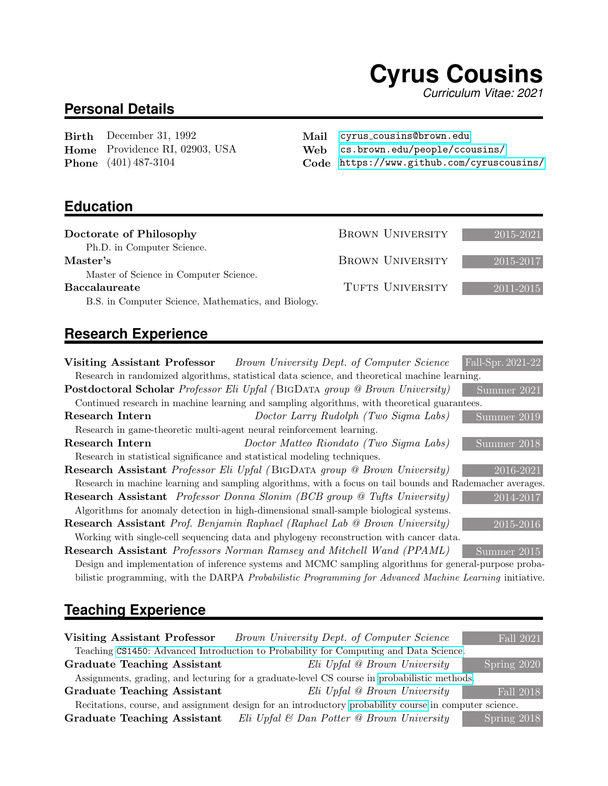# **Cyrus Cousins**

*Curriculum Vitae: 2021*

## **Personal Details**

Birth December 31, 1992 Home Providence RI, 02903, USA Phone (401) 487-3104

Mail cyrus [cousins@brown.edu](mailto:cyrus_cousins@brown.edu)

Web [cs.brown.edu/people/ccousins/](https://cs.brown.edu/people/ccousins/home.html)

Code <https://www.github.com/cyruscousins/>

### **Education**

| Doctorate of Philosophy                             | <b>BROWN UNIVERSITY</b> | 2015-2021 |
|-----------------------------------------------------|-------------------------|-----------|
| Ph.D. in Computer Science.                          |                         |           |
| Master's                                            | <b>BROWN UNIVERSITY</b> | 2015-2017 |
| Master of Science in Computer Science.              |                         |           |
| <b>Baccalaureate</b>                                | TUFTS UNIVERSITY        | 2011-2015 |
| B.S. in Computer Science, Mathematics, and Biology. |                         |           |

# **Research Experience**

|                                                                           | <b>Visiting Assistant Professor</b> Brown University Dept. of Computer Science                             | Fall-Spr. 2021-22 |
|---------------------------------------------------------------------------|------------------------------------------------------------------------------------------------------------|-------------------|
|                                                                           | Research in randomized algorithms, statistical data science, and theoretical machine learning.             |                   |
|                                                                           | <b>Postdoctoral Scholar</b> Professor Eli Upfal (BIGDATA group @ Brown University)                         | Summer 2021       |
|                                                                           | Continued research in machine learning and sampling algorithms, with theoretical guarantees.               |                   |
| Research Intern                                                           | Doctor Larry Rudolph (Two Sigma Labs)                                                                      | Summer 2019       |
| Research in game-theoretic multi-agent neural reinforcement learning.     |                                                                                                            |                   |
| Research Intern                                                           | Doctor Matteo Riondato (Two Sigma Labs)                                                                    | Summer 2018       |
| Research in statistical significance and statistical modeling techniques. |                                                                                                            |                   |
|                                                                           | Research Assistant Professor Eli Upfal (BIGDATA group @ Brown University)                                  | 2016-2021         |
|                                                                           | Research in machine learning and sampling algorithms, with a focus on tail bounds and Rademacher averages. |                   |
|                                                                           | <b>Research Assistant</b> Professor Donna Slonim (BCB group @ Tufts University)                            | 2014-2017         |
|                                                                           | Algorithms for anomaly detection in high-dimensional small-sample biological systems.                      |                   |
|                                                                           | <b>Research Assistant</b> Prof. Benjamin Raphael (Raphael Lab @ Brown University)                          | 2015-2016         |
|                                                                           | Working with single-cell sequencing data and phylogeny reconstruction with cancer data.                    |                   |
|                                                                           | <b>Research Assistant</b> Professors Norman Ramsey and Mitchell Wand (PPAML)                               | Summer 2015       |
|                                                                           | Decime and implementation of informace grateria and MCMC compling elgenithms for general purpose puche     |                   |

Design and implementation of inference systems and MCMC sampling algorithms for general-purpose probabilistic programming, with the DARPA Probabilistic Programming for Advanced Machine Learning initiative.

# **Teaching Experience**

| Visiting Assistant Professor       | Brown University Dept. of Computer Science                                                             | Fall 2021                    |
|------------------------------------|--------------------------------------------------------------------------------------------------------|------------------------------|
|                                    | Teaching CS1450: Advanced Introduction to Probability for Computing and Data Science.                  |                              |
| <b>Graduate Teaching Assistant</b> | Eli Upfal @ Brown University                                                                           | Spring 2020                  |
|                                    | Assignments, grading, and lecturing for a graduate-level CS course in probabilistic methods.           |                              |
| <b>Graduate Teaching Assistant</b> | Eli Upfal @ Brown University                                                                           | Fall 2018                    |
|                                    | Recitations, course, and assignment design for an introductory probability course in computer science. |                              |
| <b>Graduate Teaching Assistant</b> | Eli Upfal & Dan Potter @ Brown University                                                              | $\sqrt{\text{Spring } 2018}$ |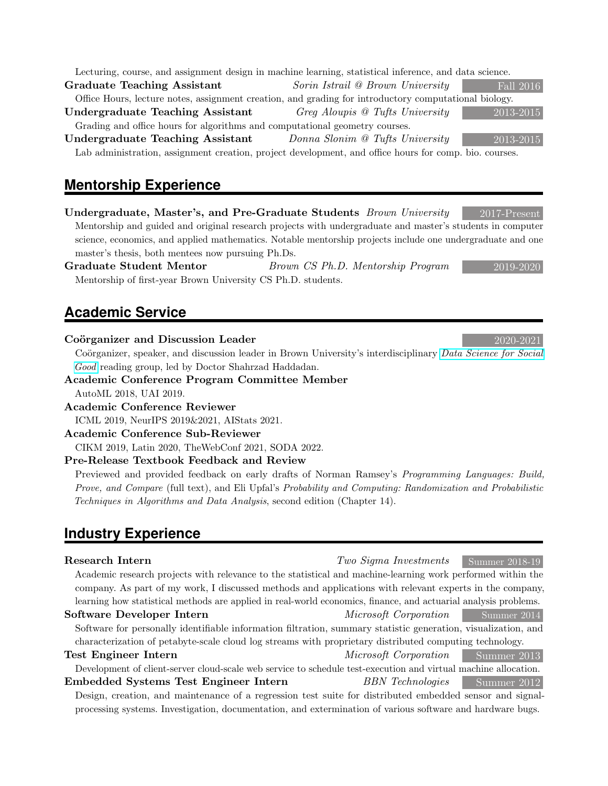|  |  |  |                                                     |  | Lecturing, course, and assignment design in machine learning, statistical inference, and data science. |
|--|--|--|-----------------------------------------------------|--|--------------------------------------------------------------------------------------------------------|
|  |  |  | 그 사람들은 그 사람들은 그 사람들을 지르는 것을 하나 없다. 그는 어디에 대해 보고 있다. |  |                                                                                                        |

Graduate Teaching Assistant Sorin Istrail @ Brown University Fall 2016 Office Hours, lecture notes, assignment creation, and grading for introductory computational biology.

Undergraduate Teaching Assistant Greg Aloupis @ Tufts University 2013-2015

Grading and office hours for algorithms and computational geometry courses. Undergraduate Teaching Assistant  $Domain$  Bonna Slonim @ Tufts University

Lab administration, assignment creation, project development, and office hours for comp. bio. courses.

# **Mentorship Experience**

Undergraduate, Master's, and Pre-Graduate Students Brown University 2017-Present Mentorship and guided and original research projects with undergraduate and master's students in computer science, economics, and applied mathematics. Notable mentorship projects include one undergraduate and one master's thesis, both mentees now pursuing Ph.Ds.

Graduate Student Mentor Brown CS Ph.D. Mentorship Program 2019-2020 Mentorship of first-year Brown University CS Ph.D. students.

# **Academic Service**

#### $Coörganizer$  and Discussion Leader  $2020-2021$

Coörganizer, speaker, and discussion leader in Brown University's interdisciplinary [Data Science for Social](http://cs.brown.edu/research/dssg/) [Good](http://cs.brown.edu/research/dssg/) reading group, led by Doctor Shahrzad Haddadan.

Academic Conference Program Committee Member AutoML 2018, UAI 2019.

Academic Conference Reviewer

ICML 2019, NeurIPS 2019&2021, AIStats 2021.

#### Academic Conference Sub-Reviewer

CIKM 2019, Latin 2020, TheWebConf 2021, SODA 2022.

#### Pre-Release Textbook Feedback and Review

Previewed and provided feedback on early drafts of Norman Ramsey's Programming Languages: Build, Prove, and Compare (full text), and Eli Upfal's Probability and Computing: Randomization and Probabilistic Techniques in Algorithms and Data Analysis, second edition (Chapter 14).

# **Industry Experience**

| Research Intern                                                                                                 | Two Sigma Investments               | $\sim$ Summer 2018-19 |
|-----------------------------------------------------------------------------------------------------------------|-------------------------------------|-----------------------|
| Academic research projects with relevance to the statistical and machine-learning work performed within the     |                                     |                       |
| company. As part of my work, I discussed methods and applications with relevant experts in the company,         |                                     |                       |
| learning how statistical methods are applied in real-world economics, finance, and actuarial analysis problems. |                                     |                       |
| Software Developer Intern                                                                                       | Microsoft Corporation Summer 2014   |                       |
| Software for personally identifiable information filtration, summary statistic generation, visualization, and   |                                     |                       |
| characterization of petabyte-scale cloud log streams with proprietary distributed computing technology.         |                                     |                       |
| <b>Test Engineer Intern</b>                                                                                     | <i>Microsoft Corporation</i>        | Summer 2013           |
| Development of client-server cloud-scale web service to schedule test-execution and virtual machine allocation. |                                     |                       |
| Embedded Systems Test Engineer Intern                                                                           | <b>BBN</b> Technologies Summer 2012 |                       |
| Design, creation, and maintenance of a regression test suite for distributed embedded sensor and signal-        |                                     |                       |
| processing systems. Investigation, documentation, and extermination of various software and hardware bugs.      |                                     |                       |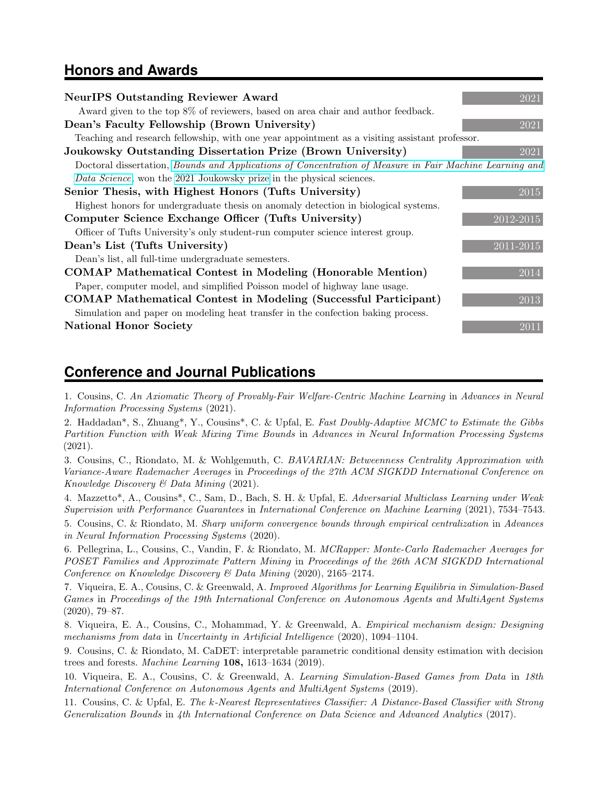### **Honors and Awards**

| <b>NeurIPS Outstanding Reviewer Award</b>                                                               | 2021                   |
|---------------------------------------------------------------------------------------------------------|------------------------|
| Award given to the top 8% of reviewers, based on area chair and author feedback.                        |                        |
| Dean's Faculty Fellowship (Brown University)                                                            | 2021                   |
| Teaching and research fellowship, with one year appointment as a visiting assistant professor.          |                        |
| Joukowsky Outstanding Dissertation Prize (Brown University)                                             | 2021                   |
| Doctoral dissertation, Bounds and Applications of Concentration of Measure in Fair Machine Learning and |                        |
| Data Science, won the 2021 Joukowsky prize in the physical sciences.                                    |                        |
| Senior Thesis, with Highest Honors (Tufts University)                                                   | 2015                   |
| Highest honors for undergraduate thesis on anomaly detection in biological systems.                     |                        |
| Computer Science Exchange Officer (Tufts University)                                                    | 2012-2015              |
| Officer of Tufts University's only student-run computer science interest group.                         |                        |
| Dean's List (Tufts University)                                                                          | $\overline{2011-2015}$ |
| Dean's list, all full-time undergraduate semesters.                                                     |                        |
| COMAP Mathematical Contest in Modeling (Honorable Mention)                                              | 2014                   |
| Paper, computer model, and simplified Poisson model of highway lane usage.                              |                        |
| <b>COMAP Mathematical Contest in Modeling (Successful Participant)</b>                                  | 2013                   |
| Simulation and paper on modeling heat transfer in the confection baking process.                        |                        |
| <b>National Honor Society</b>                                                                           | 2011                   |
|                                                                                                         |                        |

### **Conference and Journal Publications**

1. Cousins, C. An Axiomatic Theory of Provably-Fair Welfare-Centric Machine Learning in Advances in Neural Information Processing Systems (2021).

2. Haddadan\*, S., Zhuang\*, Y., Cousins\*, C. & Upfal, E. Fast Doubly-Adaptive MCMC to Estimate the Gibbs Partition Function with Weak Mixing Time Bounds in Advances in Neural Information Processing Systems (2021).

3. Cousins, C., Riondato, M. & Wohlgemuth, C. BAVARIAN: Betweenness Centrality Approximation with Variance-Aware Rademacher Averages in Proceedings of the 27th ACM SIGKDD International Conference on Knowledge Discovery & Data Mining (2021).

4. Mazzetto\*, A., Cousins\*, C., Sam, D., Bach, S. H. & Upfal, E. Adversarial Multiclass Learning under Weak Supervision with Performance Guarantees in International Conference on Machine Learning (2021), 7534–7543.

5. Cousins, C. & Riondato, M. Sharp uniform convergence bounds through empirical centralization in Advances in Neural Information Processing Systems (2020).

6. Pellegrina, L., Cousins, C., Vandin, F. & Riondato, M. MCRapper: Monte-Carlo Rademacher Averages for POSET Families and Approximate Pattern Mining in Proceedings of the 26th ACM SIGKDD International Conference on Knowledge Discovery & Data Mining (2020), 2165–2174.

7. Viqueira, E. A., Cousins, C. & Greenwald, A. Improved Algorithms for Learning Equilibria in Simulation-Based Games in Proceedings of the 19th International Conference on Autonomous Agents and MultiAgent Systems (2020), 79–87.

8. Viqueira, E. A., Cousins, C., Mohammad, Y. & Greenwald, A. Empirical mechanism design: Designing mechanisms from data in Uncertainty in Artificial Intelligence (2020), 1094–1104.

9. Cousins, C. & Riondato, M. CaDET: interpretable parametric conditional density estimation with decision trees and forests. Machine Learning  $108$ , 1613–1634 (2019).

10. Viqueira, E. A., Cousins, C. & Greenwald, A. Learning Simulation-Based Games from Data in 18th International Conference on Autonomous Agents and MultiAgent Systems (2019).

11. Cousins, C. & Upfal, E. The k-Nearest Representatives Classifier: A Distance-Based Classifier with Strong Generalization Bounds in 4th International Conference on Data Science and Advanced Analytics (2017).